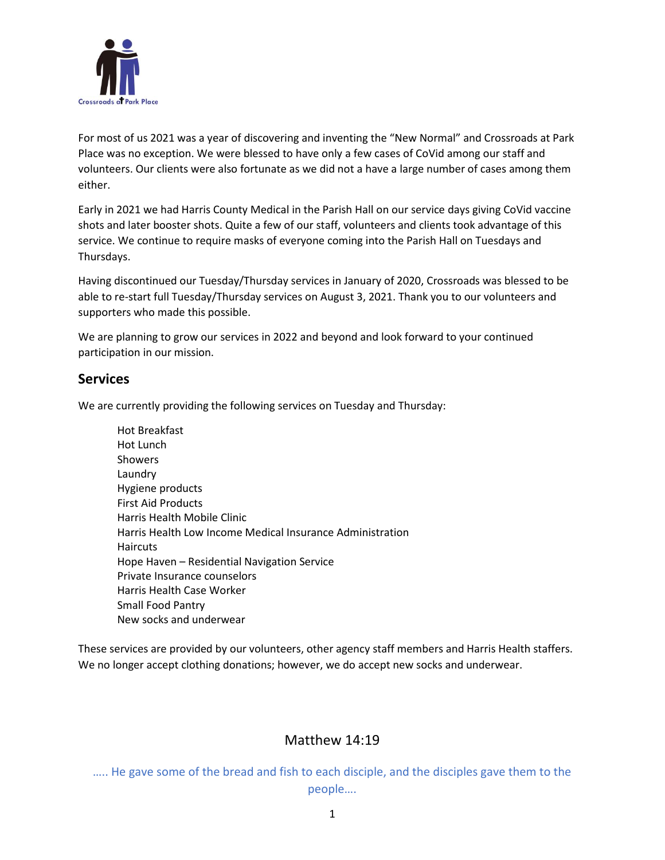

For most of us 2021 was a year of discovering and inventing the "New Normal" and Crossroads at Park Place was no exception. We were blessed to have only a few cases of CoVid among our staff and volunteers. Our clients were also fortunate as we did not a have a large number of cases among them either.

Early in 2021 we had Harris County Medical in the Parish Hall on our service days giving CoVid vaccine shots and later booster shots. Quite a few of our staff, volunteers and clients took advantage of this service. We continue to require masks of everyone coming into the Parish Hall on Tuesdays and Thursdays.

Having discontinued our Tuesday/Thursday services in January of 2020, Crossroads was blessed to be able to re-start full Tuesday/Thursday services on August 3, 2021. Thank you to our volunteers and supporters who made this possible.

We are planning to grow our services in 2022 and beyond and look forward to your continued participation in our mission.

#### **Services**

We are currently providing the following services on Tuesday and Thursday:

Hot Breakfast Hot Lunch **Showers** Laundry Hygiene products First Aid Products Harris Health Mobile Clinic Harris Health Low Income Medical Insurance Administration **Haircuts** Hope Haven – Residential Navigation Service Private Insurance counselors Harris Health Case Worker Small Food Pantry New socks and underwear

These services are provided by our volunteers, other agency staff members and Harris Health staffers. We no longer accept clothing donations; however, we do accept new socks and underwear.

## Matthew 14:19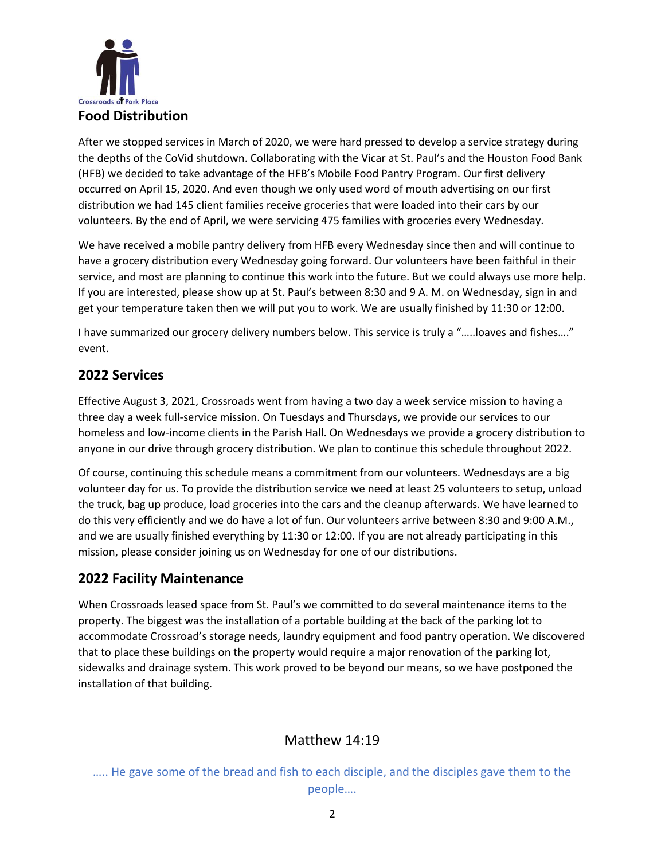

After we stopped services in March of 2020, we were hard pressed to develop a service strategy during the depths of the CoVid shutdown. Collaborating with the Vicar at St. Paul's and the Houston Food Bank (HFB) we decided to take advantage of the HFB's Mobile Food Pantry Program. Our first delivery occurred on April 15, 2020. And even though we only used word of mouth advertising on our first distribution we had 145 client families receive groceries that were loaded into their cars by our volunteers. By the end of April, we were servicing 475 families with groceries every Wednesday.

We have received a mobile pantry delivery from HFB every Wednesday since then and will continue to have a grocery distribution every Wednesday going forward. Our volunteers have been faithful in their service, and most are planning to continue this work into the future. But we could always use more help. If you are interested, please show up at St. Paul's between 8:30 and 9 A. M. on Wednesday, sign in and get your temperature taken then we will put you to work. We are usually finished by 11:30 or 12:00.

I have summarized our grocery delivery numbers below. This service is truly a "…..loaves and fishes…." event.

### **2022 Services**

Effective August 3, 2021, Crossroads went from having a two day a week service mission to having a three day a week full-service mission. On Tuesdays and Thursdays, we provide our services to our homeless and low-income clients in the Parish Hall. On Wednesdays we provide a grocery distribution to anyone in our drive through grocery distribution. We plan to continue this schedule throughout 2022.

Of course, continuing this schedule means a commitment from our volunteers. Wednesdays are a big volunteer day for us. To provide the distribution service we need at least 25 volunteers to setup, unload the truck, bag up produce, load groceries into the cars and the cleanup afterwards. We have learned to do this very efficiently and we do have a lot of fun. Our volunteers arrive between 8:30 and 9:00 A.M., and we are usually finished everything by 11:30 or 12:00. If you are not already participating in this mission, please consider joining us on Wednesday for one of our distributions.

## **2022 Facility Maintenance**

When Crossroads leased space from St. Paul's we committed to do several maintenance items to the property. The biggest was the installation of a portable building at the back of the parking lot to accommodate Crossroad's storage needs, laundry equipment and food pantry operation. We discovered that to place these buildings on the property would require a major renovation of the parking lot, sidewalks and drainage system. This work proved to be beyond our means, so we have postponed the installation of that building.

## Matthew 14:19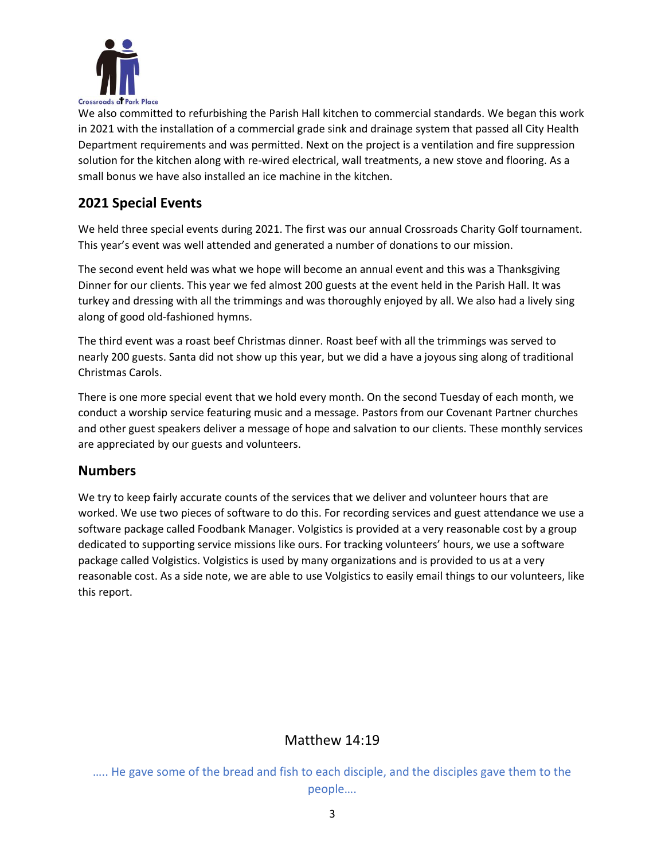

We also committed to refurbishing the Parish Hall kitchen to commercial standards. We began this work in 2021 with the installation of a commercial grade sink and drainage system that passed all City Health Department requirements and was permitted. Next on the project is a ventilation and fire suppression solution for the kitchen along with re-wired electrical, wall treatments, a new stove and flooring. As a small bonus we have also installed an ice machine in the kitchen.

## **2021 Special Events**

We held three special events during 2021. The first was our annual Crossroads Charity Golf tournament. This year's event was well attended and generated a number of donations to our mission.

The second event held was what we hope will become an annual event and this was a Thanksgiving Dinner for our clients. This year we fed almost 200 guests at the event held in the Parish Hall. It was turkey and dressing with all the trimmings and was thoroughly enjoyed by all. We also had a lively sing along of good old-fashioned hymns.

The third event was a roast beef Christmas dinner. Roast beef with all the trimmings was served to nearly 200 guests. Santa did not show up this year, but we did a have a joyous sing along of traditional Christmas Carols.

There is one more special event that we hold every month. On the second Tuesday of each month, we conduct a worship service featuring music and a message. Pastors from our Covenant Partner churches and other guest speakers deliver a message of hope and salvation to our clients. These monthly services are appreciated by our guests and volunteers.

#### **Numbers**

We try to keep fairly accurate counts of the services that we deliver and volunteer hours that are worked. We use two pieces of software to do this. For recording services and guest attendance we use a software package called Foodbank Manager. Volgistics is provided at a very reasonable cost by a group dedicated to supporting service missions like ours. For tracking volunteers' hours, we use a software package called Volgistics. Volgistics is used by many organizations and is provided to us at a very reasonable cost. As a side note, we are able to use Volgistics to easily email things to our volunteers, like this report.

#### Matthew 14:19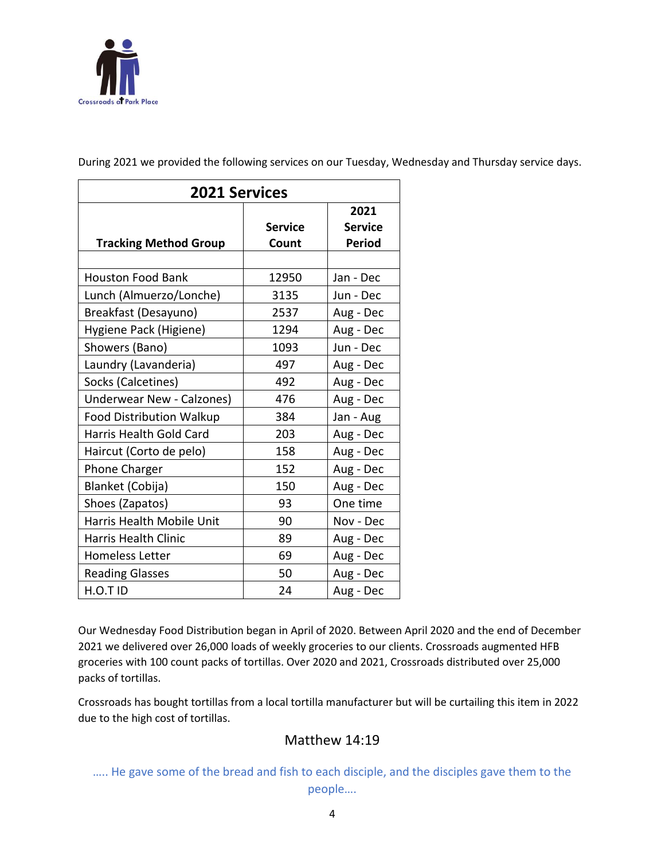

**2021 Services Tracking Method Group Service Count 2021 Service Period** Houston Food Bank 12950 Jan - Dec Lunch (Almuerzo/Lonche) | 3135 | Jun - Dec Breakfast (Desayuno) 2537 Aug - Dec Hygiene Pack (Higiene) | 1294 | Aug - Dec Showers (Bano) 1093 Jun - Dec Laundry (Lavanderia)  $\begin{array}{|c|c|c|c|c|c|} \hline \end{array}$  497 | Aug - Dec Socks (Calcetines)  $\begin{array}{ccc} | & 492 & | \text{Aug - Dec} \end{array}$ Underwear New - Calzones) | 476 | Aug - Dec Food Distribution Walkup | 384 | Jan - Aug Harris Health Gold Card | 203 | Aug - Dec Haircut (Corto de pelo) | 158 | Aug - Dec Phone Charger 152 Aug - Dec Blanket (Cobija) 150 Aug - Dec Shoes (Zapatos) 193 One time Harris Health Mobile Unit | 90 | Nov - Dec Harris Health Clinic **89** Aug - Dec Homeless Letter | 69 | Aug - Dec Reading Glasses 1 50 Aug - Dec H.O.T ID 24 Aug - Dec

During 2021 we provided the following services on our Tuesday, Wednesday and Thursday service days.

Our Wednesday Food Distribution began in April of 2020. Between April 2020 and the end of December 2021 we delivered over 26,000 loads of weekly groceries to our clients. Crossroads augmented HFB groceries with 100 count packs of tortillas. Over 2020 and 2021, Crossroads distributed over 25,000 packs of tortillas.

Crossroads has bought tortillas from a local tortilla manufacturer but will be curtailing this item in 2022 due to the high cost of tortillas.

## Matthew 14:19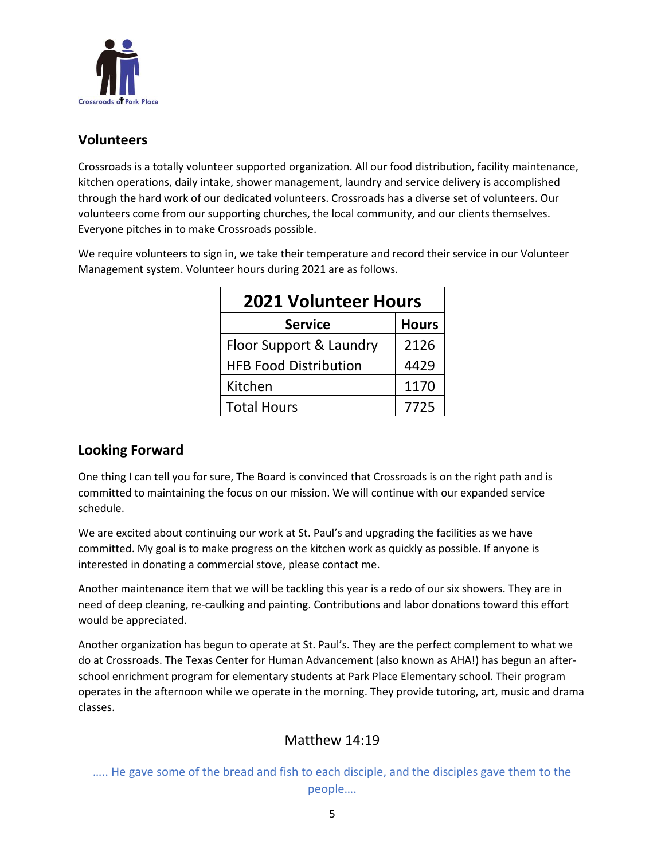

#### **Volunteers**

Crossroads is a totally volunteer supported organization. All our food distribution, facility maintenance, kitchen operations, daily intake, shower management, laundry and service delivery is accomplished through the hard work of our dedicated volunteers. Crossroads has a diverse set of volunteers. Our volunteers come from our supporting churches, the local community, and our clients themselves. Everyone pitches in to make Crossroads possible.

We require volunteers to sign in, we take their temperature and record their service in our Volunteer Management system. Volunteer hours during 2021 are as follows.

| <b>2021 Volunteer Hours</b>  |              |
|------------------------------|--------------|
| <b>Service</b>               | <b>Hours</b> |
| Floor Support & Laundry      | 2126         |
| <b>HFB Food Distribution</b> | 4429         |
| Kitchen                      | 1170         |
| <b>Total Hours</b>           | 7725         |

# **Looking Forward**

One thing I can tell you for sure, The Board is convinced that Crossroads is on the right path and is committed to maintaining the focus on our mission. We will continue with our expanded service schedule.

We are excited about continuing our work at St. Paul's and upgrading the facilities as we have committed. My goal is to make progress on the kitchen work as quickly as possible. If anyone is interested in donating a commercial stove, please contact me.

Another maintenance item that we will be tackling this year is a redo of our six showers. They are in need of deep cleaning, re-caulking and painting. Contributions and labor donations toward this effort would be appreciated.

Another organization has begun to operate at St. Paul's. They are the perfect complement to what we do at Crossroads. The Texas Center for Human Advancement (also known as AHA!) has begun an afterschool enrichment program for elementary students at Park Place Elementary school. Their program operates in the afternoon while we operate in the morning. They provide tutoring, art, music and drama classes.

## Matthew 14:19